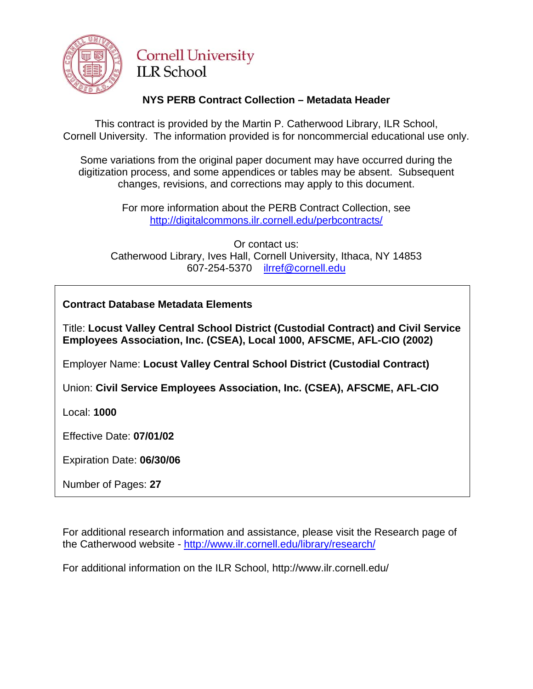

# **Cornell University ILR School**

## **NYS PERB Contract Collection – Metadata Header**

This contract is provided by the Martin P. Catherwood Library, ILR School, Cornell University. The information provided is for noncommercial educational use only.

Some variations from the original paper document may have occurred during the digitization process, and some appendices or tables may be absent. Subsequent changes, revisions, and corrections may apply to this document.

> For more information about the PERB Contract Collection, see http://digitalcommons.ilr.cornell.edu/perbcontracts/

Or contact us: Catherwood Library, Ives Hall, Cornell University, Ithaca, NY 14853 607-254-5370 [ilrref@cornell.edu](mailto:ilrref@cornell.edu)

**Contract Database Metadata Elements** 

Title: **Locust Valley Central School District (Custodial Contract) and Civil Service Employees Association, Inc. (CSEA), Local 1000, AFSCME, AFL-CIO (2002)** 

Employer Name: **Locust Valley Central School District (Custodial Contract)**

Union: **Civil Service Employees Association, Inc. (CSEA), AFSCME, AFL-CIO** 

Local: **1000**

Effective Date: **07/01/02**

Expiration Date: **06/30/06**

Number of Pages: **27**

For additional research information and assistance, please visit the Research page of the Catherwood website -<http://www.ilr.cornell.edu/library/research/>

For additional information on the ILR School, http://www.ilr.cornell.edu/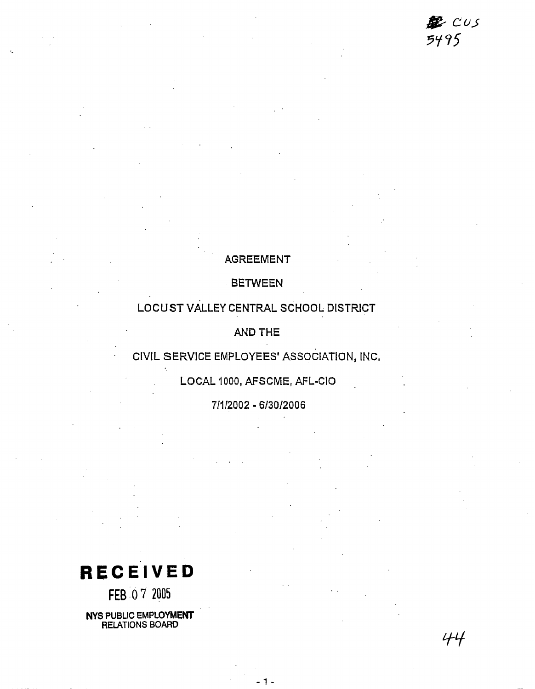里  $CUS$ 5495

44

### AGREEMENT

BETWEEN

### LOCUST VALLEY CENTRAL SCHOOL DISTRICT

**AND** THE

## CIVIL SERVICE EMPLOYEES' ASSOCIATION, INC.

LOCAL 1000, AFSCME, AFL-CIO

71112002 - 613012006

**RECEIVED** 

FEB 07 2005

**NYS PUBLIC EMPLOYMEW RELATIONS BOARD**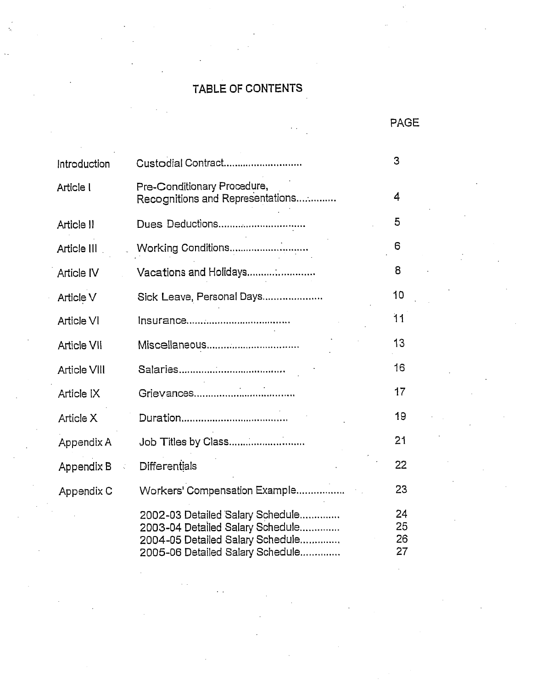# TABLE OF CONTENTS

PAGE

| Introduction        | Custodial Contract                                                                                                                           |                      |  |  |  |
|---------------------|----------------------------------------------------------------------------------------------------------------------------------------------|----------------------|--|--|--|
| Article I           | Pre-Conditionary Procedure,<br>Recognitions and Representations                                                                              | 4                    |  |  |  |
| Article II          | Dues Deductions                                                                                                                              | 5                    |  |  |  |
| Article III         |                                                                                                                                              | 6                    |  |  |  |
| Article IV          | Vacations and Holidays                                                                                                                       | 8                    |  |  |  |
| Article V           | Sick Leave, Personal Days                                                                                                                    | 10                   |  |  |  |
| Article VI          |                                                                                                                                              | 11                   |  |  |  |
| <b>Article VII</b>  | Miscellaneous                                                                                                                                | 13                   |  |  |  |
| <b>Article VIII</b> |                                                                                                                                              | 16                   |  |  |  |
| Article IX          |                                                                                                                                              | 17                   |  |  |  |
| Article X           |                                                                                                                                              | 19                   |  |  |  |
| Appendix A          | Job Titles by Class                                                                                                                          | 21                   |  |  |  |
| Appendix B          | Differentials                                                                                                                                | 22                   |  |  |  |
| Appendix C          | Workers' Compensation Example                                                                                                                | 23                   |  |  |  |
|                     | 2002-03 Detailed Salary Schedule<br>2003-04 Detailed Salary Schedule<br>2004-05 Detailed Salary Schedule<br>2005-06 Detailed Salary Schedule | 24<br>25<br>26<br>27 |  |  |  |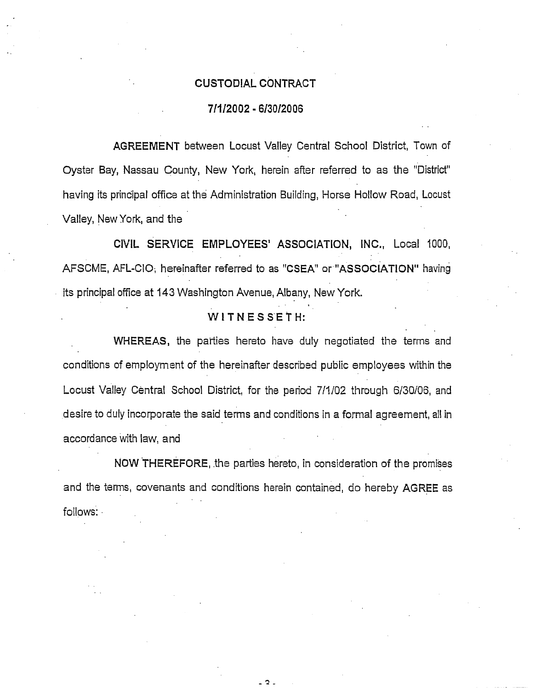#### CUSTODIAL CONTRACT

#### **7lIl2002** - **613012006**

AGREEMENT between Locust Valley Central School District, Town of Oyster Bay, Nassau County, New York, herein after referred to as the "District" having its principal office at the Administration Building, Horse Hollow Road, Locust Valley, New York, and the

CIVIL SERVICE EMPLOYEES' ASSOCIATION, INC., Local 1000, AFSCME, AFL-CIO; hereinafter referred to as "CSEA" or "ASSOCIATION" having its principal office at 143 Washington Avenue, Albany, New York.

### WITNESSETH:

WHEREAS, the parties hereto have duly negotiated the terms and conditions of employment of the hereinafter described public employees within the Locust Valley Central School District, for the period 711102 through 6130106, and desire to duly incorporate the said terms and conditions in a formal agreement, all in accordance with law, and

**NOW** .THEREFORE, the parties hereto, in consideration of the promises and the terms, covenants and conditions herein contained, do hereby AGREE as follows: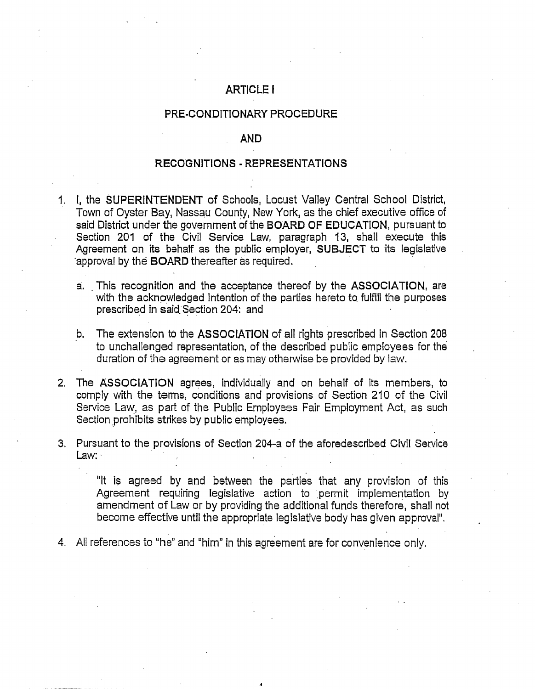### **ARTICLE I**

#### PRE-CONDITIONARY PROCEDURE

#### **AND**

#### RECOGNITIONS - REPRESENTATIONS

- I I, the **SUPERINTENDENT** of Schools, Locust Valley Central School District, Town of Oyster Bay, Nassau County, New York, as the chief executive office of said District under the government of the BOARD OF EDUCATION, pursuant to Section 201 of the Civil Service Law, paragraph 13, shall execute this Agreement on its behalf as the public employer, SUBJECT to its legislative approval by the **BOARD** thereafter as required.
	- a. This recognition and the acceptance thereof by the ASSOCIATION, are with the acknowledged intention of the parties hereto to fulfill the purposes prescribed in said Section 204: and
	- b. The extension to the **ASSOCIATION** of all rights prescribed in Section 208 to unchallenged representation, of the described public employees for the duration of the agreement or as may otherwise be provided by law.
- 2. The ASSOCIATION agrees, individually and on behalf of its members, to comply with the terms, conditions and provisions of Section 210 of the Civil Service Law, as part of the Public Employees Fair Employment Act, as such Section prohibits strikes by public employees.
- 3. Pursuant to the provisions of Section 204-a of the aforedescribed Civil Service Law:  $\cdot$

"It is agreed by and between the parties that any provision of this Agreement requiring legislative action to permit implementation by amendment of Law or by providing the additional funds therefore, shall not become effective until the appropriate legislative body has given approval".

4. All references to "he" and "him" in this agreement are for convenience only.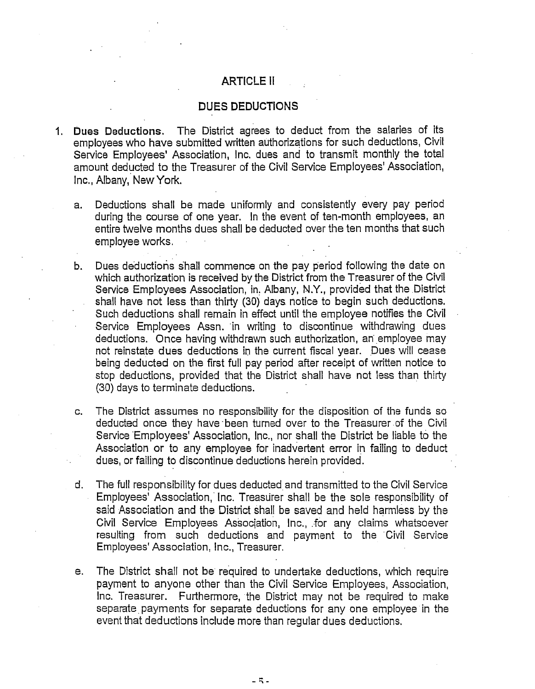### **ARTICLE II**

#### DUES DEDUCTIONS

- 1. **Dues Deductions.** The District agrees to deduct from the salaries of its employees who have submitted written authorizations for such deductions, Civil Service Employees' Association, Inc. dues and to transmit monthly the total amount deducted to the Treasurer of the Civil Service Employees' Association, Inc., Albany, New York.
	- a. Deductions shall be made uniformly and consistently every pay period during the course of one year. In the event of ten-month employees, an entire twelve months dues shall be deducted over the ten months that such employee works.
	- b. Dues deductions shall commence on the pay period following the date on which authorization is received by the District from the Treasurer of the Civil Service Employees Association, in, Albany, N.Y., provided that the District shall have not less than thirty (30) days notice to begin such deductions.<br>Such deductions shall remain in effect until the employee notifies the Civil Service Employees Assn. 'in writing to discontinue withdrawing dues deductions. Once having withdrawn such authorization, an employee may not reinstate dues deductions in the current fiscal year. Dues will cease being deducted on the first full pay period after receipt of written notice to stop deductions, provided that the District shall have not less than thirty (30) days to terminate deductions.
	- c. The District assumes no responsibility for the disposition of the funds so deducted once they have.been turned over to the Treasurer of the Civil Service Employees' Association, Inc., nor shall the District be liable to the Association or to any employee for inadvertent error in failing to deduct dues, or failing to discontinue deductions herein provided.
	- d. The full responsibility for dues deducted, and transmitted to the Civil Service Employees' Association, Inc. Treasurer shall be the sole responsibility of said Association and the District Shall be saved and held harmless by the Civil Service Employees Association, Inc., for any claims whatsoever resulting from such deductions and payment to the Civil Service Employees' Association, Inc., Treasurer.
	- e. The District shall not be required to undertake deductions, which require payment to anyone other than the Civil Service Employees, Association, Inc. Treasurer. Furthermore, the District may not be required to make separate payments for separate deductions for any one employee in the event that deductions include more than regular dues deductions.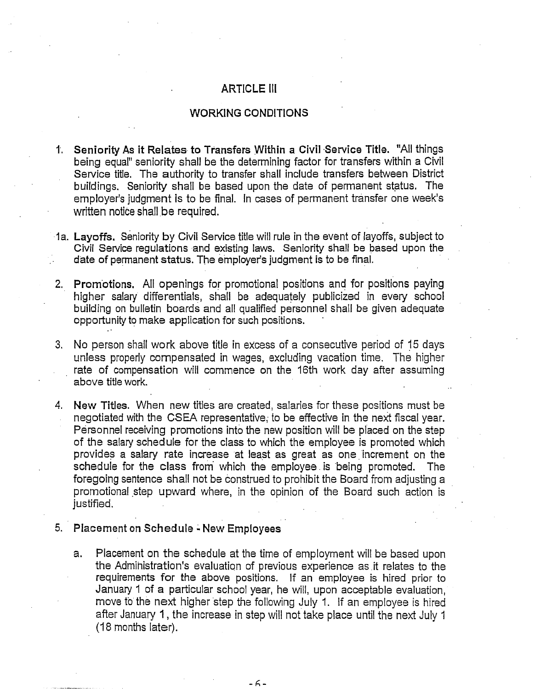### ARTICLE Ill

### WORKING CONDITIONS

- I.. Seniority **As** it Relates. to Transfers Within a Civil Service Title. "All things being equal" seniority shall be the determining factor for transfers within a Civil Service title. The authority to transfer shall include transfers between District buildings. Seniority shall be based upon the date of permanent status. The employer's judgment is to be final. In cases of permanent transfer one week's written notice shall be required.
- la. Layoffs. seniority by Civil Service title will rule in the event of layoffs, subject to Civil Service regulations and existing laws. Seniority shall be based upon the date of permanent status. The employer's judgment is to be final.
- **2.** Promotions. All openings for promotional positions and for positions paying higher salary differentials, shall be adequately publicized in every school building on bulletin boards and all qualified personnel shall be given adequate behaving on behaving bounds and an quantical personner<br>opportunity to make application for such positions.
- **3.** No person shall work above title in excess of a consecutive period of 15 days unless properly compensated in wages, excluding vacation time. The higher rate of compensation will commence on the 16th work day after assuming above title work.
- **4,** New Titles. When new titles are created, salaries for thsse positions must be negotiated with the CSEA representative; to be effective in the next fiscal year. Personnel receiving promotions into the new position will be placed on the step of the salary schedule for the class to which the employee is promoted which provides a salary rate increase at least as great as one increment on the schedule for the class from which the employee. is being promoted. The foregoing sentence shall not be construed to prohibit the Board from adjusting a promotional step upward where, in the opinion of the Board such action is justified.
- 5. Placement on Schedule New Employees
	- a. Placement on the schedule at the time of employment will be based upon the Administration's evaluation of previous experience as it relates to the requirements for the above positions. If an employee is hired prior to January 1 of a particular school year, he will, upon acceptable evaluation, move to the next higher step the following July 1. If an employee is hired after January 1 , the increase in step will not take place until the next July 1 (18 months later).

 $-6-$ 

. .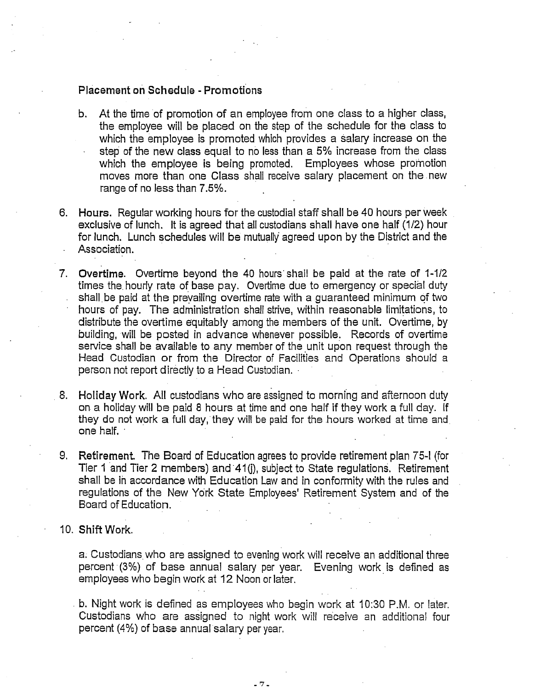#### Placement on Schedule - Promotions

- b. At the time of promotion of an employee from one class to a higher class, the employee will be placed on the step of the schedule for the class to which the employee is promoted which provides a salary increase on the step of the new class equal to no less than a 5% increase from the class which the employee is being promoted. Employees whose promotion moves more than one Class shall receive salary placement on the .new range of no less than 7.5%.
- Hours. Regular working hours for the custodial staff shall be 40 hours per week exclusive of lunch. It is agreed that all custodians shall have one half  $(1/2)$  hour for lunch. Lunch schedules will be mutually agreed upon by the District and the Association.
- Overtime. Overtime beyond the 40 hours'shall be paid at the rate of 1-112 times the. hourly rate of base pay. Overtime due to emergency or special duty shall be paid at the prevailing overtime rate with a guaranteed minimum of two hours of pay. The administration shall strive, within reasonable limitations, to distribute the overtime equitably among the members of the unit. Overtime, by building, will be posted in advance whenever possible. Records of overtime service shall be available to any member of the unit upon request through the Head Custodian or from the Director of Facilities and Operations should a person not report directly to a Head Custodian. . '
- Holiday Work. All custodians who are assigned to morning and afternoon duty on a holiday will be paid 8 hours at time and one half if they work a full day. If they do not work a full day, they will be paid for the hours worked at time and one half.
- Retirement. The Board of Education agrees to provide retirement plan 75-1 (for Retirement. The Board of Education agrees to provide retirement plan 75-I (for<br>Tier 1 and Tier 2 members) and 41(j), subject to State regulations. Retirement shall be in accordance with Education Law and in conformity with the rules and regulations of the New York State Employees' Retirement System and of the Board of Education.

#### **Shift** Work.

a. Custodians who are assigned to evening work will receive an additional three percent (3%) of base annual salary per year. Evening work is defined as employees who begin work at 12 Noon or later.

**b.** Night work is defined as employees who begin work at 10:30 P.M. or later. Custodians who are assigned to night work will receive an additional four percent (4%) of base annual salary per year.

 $-7-$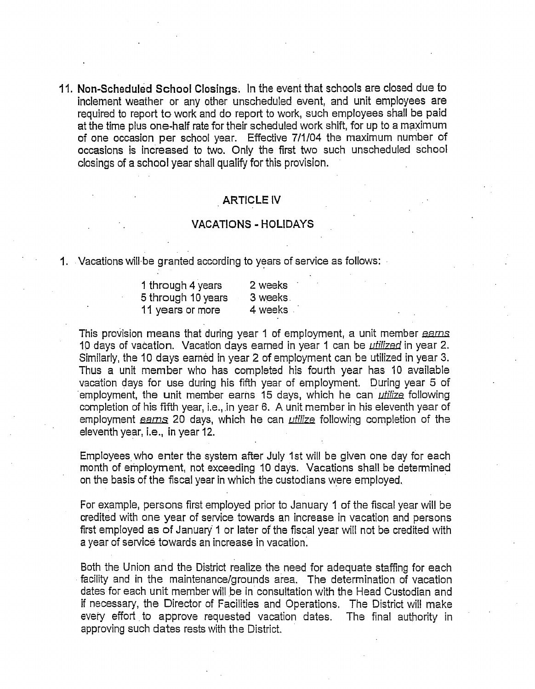I I. **Non-Scheduled School Closings.** In the event that schools are closed due to inclement weather or any other unscheduled event, and unit employees are required to report to work and do report to work, such employees shall be paid at the time plus one-half rate for their scheduled work shift, for up to a maximum of one occasion per school year. Effective 7/1/04 the maximum number of occasions is increased to two. Only the first two such unscheduled school closings of a **school** year shall qualify for this provision.

#### ARTICLE IV

#### VACATIONS - HOLIDAYS

1. Vacations will be granted according to years of service as follows:

| $\mu$ be granted accelaring to your or co. |
|--------------------------------------------|
| 2 weeks                                    |
| 3 weeks.                                   |
| 4 weeks.                                   |
|                                            |

This provision means that during year 1 of employment, a unit member earns<br>10 days of vacation. Vacation days earned in year 1 can be *utilized* in year 2. Similarly, the 10 days earned in year 2 of employment can be utilized in year **3.**  Thus a unit member who has completed his fourth year has 10 available vacation days for use during his fifth year of employment. During year *5* of employment, the unit member earns 15 days, which he can *utilize* following completion of his fifth year, i.e., in year 6. A unit member in his eleventh year of employment eams 20 days, which he can *utilize* following completion of the eleventh year, i.e., in year 12.

Employees who enter the system after July 1st will be given one day for each month of employment, not exceeding 10 days. Vacations shall be determined on the basis of the fiscal year in which the custodians were employed.

For example, persons first employed prior to January I of the fiscal year will be credited with one year of service towards an increase in vacation and persons first employed as of January 1 or later of the fiscal year will not be credited with a year of service towards an increase in vacation:

Both the Union and the District realize the need for adequate staffing for each facility and in the maintenance/grounds area. The determination of vacation dates for each unit member will be in consultation with the Head Custodian and if necessary, the Director of Facilities and Operations. The District will make every effort to approve requested vacation dates. The final authority in approving such dates rests with the District.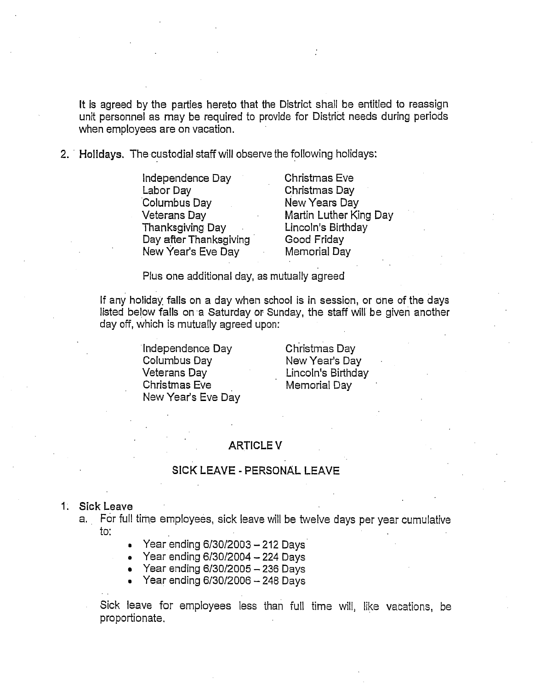It is agreed by the parties hereto that the District shall be entitled to reassign unit personnel as may be required to provide for District needs during periods when employees are on vacation.

2. ' **Holidays.** Thecustodial staff will observe the following holidays:

Independence Day Christmas Eve Labor Day Christmas Day Columbus Day New Years Day Veterans Day **Martin Luther King Day**<br>Thanksgiving Day **Martin Lincoln's Birthday** Thanksgiving Day . Lincoln's Birthday Day after Thanksgiving New Year's Eve Day Memorial Day

Plus one additional day, as mutually agreed

If any holiday falls on a day when school is in session, or one of the days listed below falls on a Saturday or Sunday, the staff will be given another day off, which is mutually agreed upon:

> Independence Day **6. Christmas Day** Columbus Day New Year's Day . Christmas Eve **Memorial Day** New Year's Eve Day

Lincoln's Birthday

### ARTICLE V

### SICK LEAVE - PERSONAL LEAVE

#### 1. **Sick** Leave

. .

- a. For full time employees, sick leave will be twelve days per year cumulative to:
	- *8*  Year ending **6J3012003**  212 Days
	- **0**  Year ending **613012004**  224 Days
	- Year ending **613012005**  236 Days
	- **a**  Year ending **613012006**  248 Days
	- Sick leave for employees less than full time will, like vacations, be proportionate.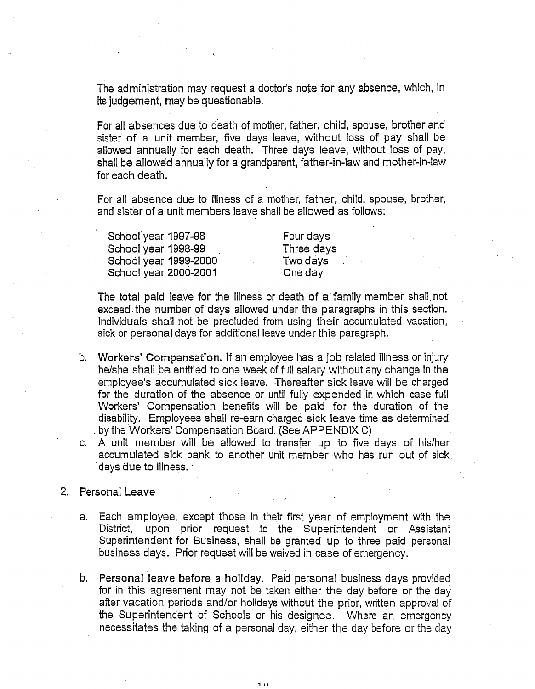The administration may request a doctor's note for any absence, which, in its judgement, may be questionable.

For all absences due to death of mother, father, child, spouse, brother and sister of a unit member, five days leave, without loss of pay shall be allowed annually for each death. Three days leave, without loss of pay, shall be allowed annually for a grandparent, father-in-law and mother-in-law for each death.

For all absence due to illness of a mother, father, child, spouse, brother, and sister of a unit members leave shall be allowed as follows:

School year 1997-98 Four days School year 1998-99 Three days School year 1999-2000 Two days School year 2000-2001 **1200** One day

The total paid leave for the illness or death of a family member shall not exceed. the number of days allowed under the paragraphs in this section. Individuals shall not be precluded from using their accumulated vacation, sick or personal days for additional leave under this paragraph.

- b. Workers' Compensation. If an employee has a job related illness or injury helshe shall be entitled to one week of full salary without any change in the employee's accumulated sick leave. Thereafter sick leave will be charged for the duration of the absence or until fully expended 'in which case full Workers' compensation benefits will be paid for the duration of the disability. Employees shall re-earn charged sick leave time as determined by the Workers' Compensation Board. (See APPENDIX C)
- A unit member will be allowed to transfer up to five days of hislher accumulated sick bank to another unit member who has run out of sick. days due to illness.

#### 2. Personal Leave

- a. Each employee, except those in their first year of employment with the District, upon prior request to the Superintendent or Assistant Superintendent for Business, shall be granted up to three paid personal business days. Prior request will be waived in case of emergency.
- b. Personal leave before **a** holiday. Paid personal business days provided for in this agreement may not be taken either the day before or the day after vacation periods and/or holidays without the prior, written approval of the Superintendent of Schools or his designee. Where an emergency necessitates the taking of a personal day, either the day before or the day

 $1<sub>n</sub>$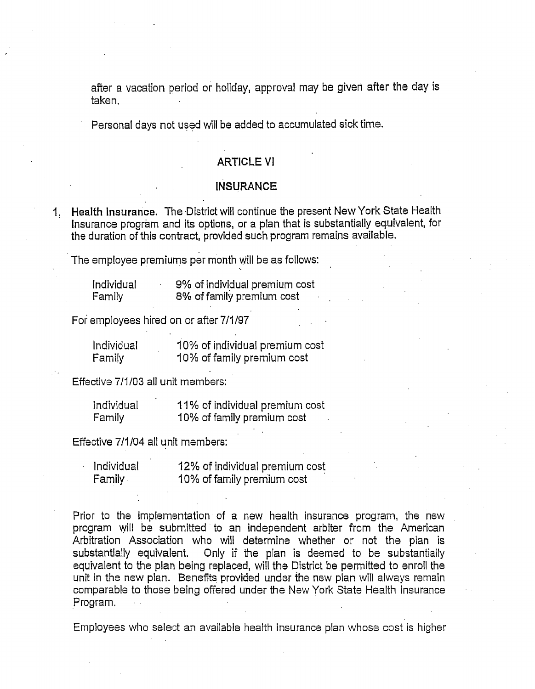after a vacation period or holiday, approval may be given after the day is taken.

Personal days not used will be added to accumulated sick time.

### ARTICLE VI

#### **INSURANCE**

1. Health Insurance. The District will continue the present New York State Health Insurance program and its options, or a plan that is substantially equivalent, for the duration of this contract, provided such program remains available.

The employee premiums per month will be as follows:

| Individual | 9% of individual premium cost |  |  |
|------------|-------------------------------|--|--|
| Family     | 8% of family premium cost     |  |  |

For employees hired on or after 7/1/97

| Individual | 10% of individual premium cost |
|------------|--------------------------------|
| Family     | 10% of family premium cost     |

| Effective 7/1/03 all unit members: |                                |
|------------------------------------|--------------------------------|
| Individual                         | 11% of individual premium cost |
| - Family                           | 10% of family premium cost     |

Effective 7/1/04 all unit members:

| Individual | 12% of individual premium cost |
|------------|--------------------------------|
| Family     | 10% of family premium cost     |

Prior to the implementation of a new health insurance program, the new program will be submitted to an independent arbiter from the American Arbitration Association who will determine whether or not the plan is substantially equivalent. Only if the plan is deemed to be substantially equivalent to the plan being replaced, will the District be permitted to enroll the unit in the new plan. Benefits provided under the new plan will alwzys remain comparable to those being offered under the New York State Health Insurance Program.

Employees who select an available health insurance plan whose cost is higher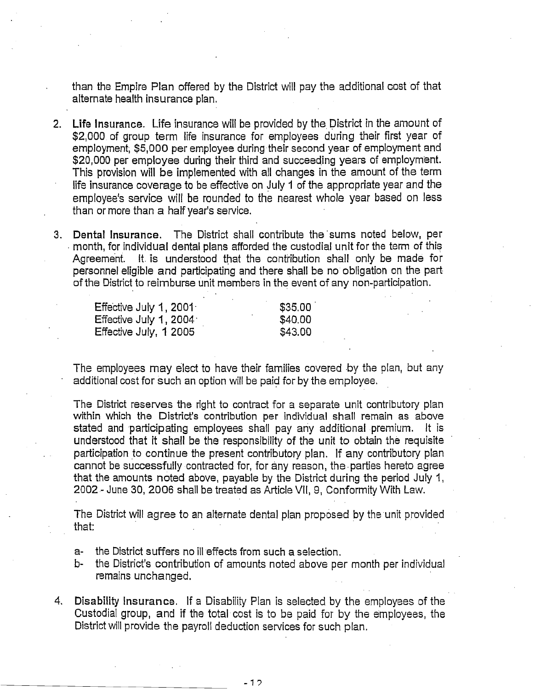than the Empire Plan offered by the District will pay the additional cost of that alternate health insurance plan.

- 2. Life Insurance. Life insurance will be provided by the District in the amount of \$2,000 of group term life insurance for employees during their first year of employment; \$5,000 per employee during their second year of employment and \$20,000 per employee during their third and succeeding years of employment. This provision will be implemented with all changes in the amount of the term life insurance coverage to be effective on July I of the appropriate year and the employee's service will be rounded to the nearest whole year based on less than or more than a half year's service.
- 3. Dental Insurance. The District shall contribute the'surns noted below, per . month, for individual dental plans afforded the custodial unit for the term of this Agreement. It. **is** understood that the contiribution shall only be made for personnel eligible and participating and there shall be no' obligation on the part. of the District to reimburse unit members in the event of any non-participation.

| Effective July 1, 2001 <sup>.</sup> | \$35.00 |
|-------------------------------------|---------|
| Effective July 1, 2004 <sup>.</sup> | \$40.00 |
| Effective July, 1 2005              | \$43.00 |

The employees may elect to have their families covered by the plan, but any additional cost for such an option will be paid for by the employee.

The District reserves the right to contract for a separate unit contributory plan within which the District's contribution per individual shall remain as above stated and participating employees shall pay any additional premium. It is understood that it shall be the responsibility of the unit to obtain the requisite participation to continue the present contributory plan. If any contributory plan cannot be successfully contracted for, for any reason, the parties hereto agree that the amounts noted above, payable by the District during the period July I, 2002 - June 30, 2006 shall be treated as Article VII, 9, Conformity With Law.

The District will agree to an alternate dental plan proposed by the unit provided that:

- a- the District suffers no ill effects from such a selection.
- b- the District's contribution of amounts noted above per month per individual remains unchanged.
- 4. Disability Insurance. If a Disability Plan is selected by the employees of the Custodial group, and if the total cost is to be paid for by the employees, the District will provide the payroll deduction services for such plan.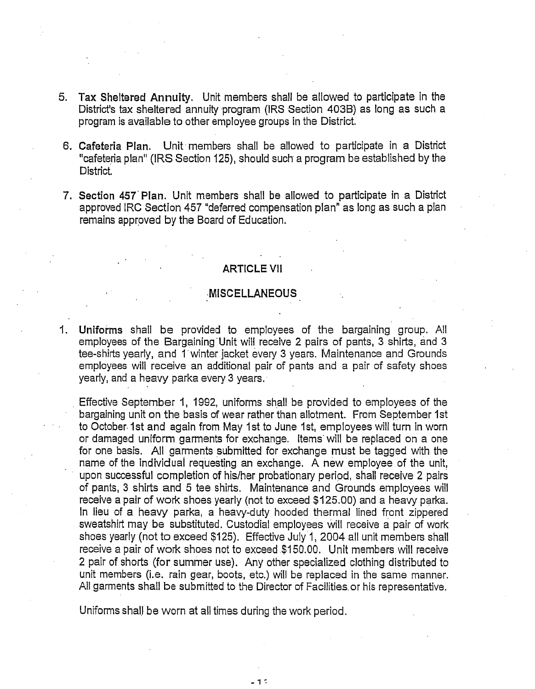- 5. **Tax** Sheltered **Annuity.** Unit members shall be allowed to participate in the District's tax sheltered annuity program (IRS Section 403B) as long as such a program is available to other employee groups in the District.
- **6. Cafeteria Plan.** Unit members shall be allowed to participate in a District "cafeteria plan" (IRS Section 125), should such a program be established by the District,
- **7. Section 457'Plan.** Unit members shall be allowed to participate in a District approved IRC Section 457 "deferred compensation plan" as long as such a plan remains approved by the Board of Education.

#### **ARTICLE** VII

#### **MISCELLANEOUS**

1. **Uniforms** shall be provided to employees of the bargaining group. All employees of the Bargaining'Unit will receive 2 pairs of pants, 3 shirts, and **3**  tee-shirts yearly, and I winter jacket every 3 years. Maintenance and Grounds employees will receive an additional pair of pants and a pair of safety shoes yearly, and a heavy parka every 3 years.

Effective September 1, 1992, uniforms shall be provided to employees of the bargaining unit on the basis of wear rather than allotment. From September 1st to October 1st and again from May 1st to June 1st, employees will turn in worn or damaged uniform garments for exchange. Items'will be replaced on a one for one basis. All garments submitted for exchange must be tagged with the name of the individual requesting an exchange. A new employee of the unit, upon successful completion of hislher probationary period, shall receive 2 pairs of pants, **3** shirts and 5 tee shirts. Maintenance and Grounds employees will receive a pair of work shoes yearly (not to exceed \$125.00) and a heavy parka. In lieu of a heavy parka, a heavy-duty hooded thermal lined front zippered sweatshirt may be substituted. Custodial employees will receive a pair of work shoes yearly (not to exceed \$125). Effective July I, 2004 all unit members shall receive a pair of work shoes not to exceed \$1 50.00. Unit members will receive 2 pair of shorts (for summer use). Any other specialized clothing distributed to unit members (i.e. rain gear, boots, etc.) will be replaced in the same manner. All garments shall be submitted to the Director of Facilities or his representative.

Uniforms shall be worn at all times during the work period.

 $-1<sup>2</sup>$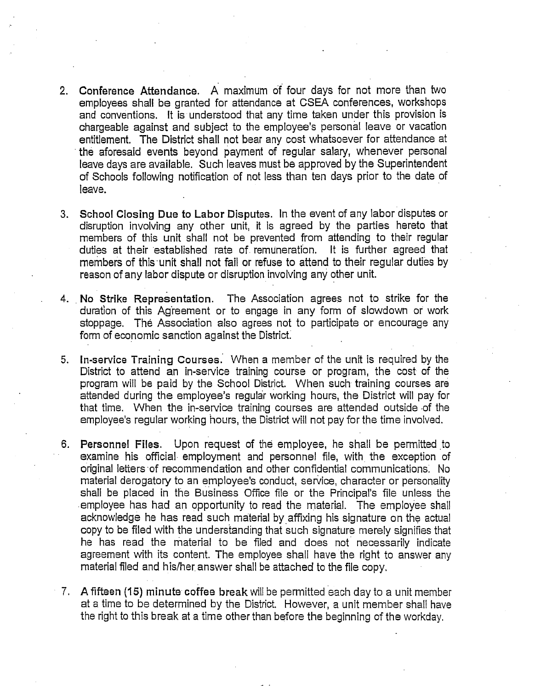- Conference Attendance. A maximum of four days for not more than two employees shall be granted for attendance at CSEA conferences, workshops and conventions. It is understood that any time taken under this provision is chargeable against and subject to the employee's personal leave or vacation entitlement. The District shall not bear any cost whatsoever for attendance at the aforesaid events beyond payment of regular salary, whenever personal leave days are available. Such leaves must be approved by the Superintendent of Schools following notification of not less than ten days prior to the date of leave.
- . School Closing **Due** to Labor Disputes. In the event of any labor disputes or disruption involving any other unit, it is agreed by the parties hereto that members of this unit shall not be prevented from attending to their regular duties at their established rate of remuneration. It is further agreed that members of this unit shall not fail or refuse to attend to their regular duties by reason of any labor dispute or disruption involving any other unit.
- 4. No Strike Representation. The Association agrees not to strike for the duration of this Agreement or to engage in any form of slowdown or work stoppage. The Association also agrees not to participate or encourage any form of economic sanction against the District.
- 5. In-service Training Courses. When a member of the unit is required by the District to attend an in-service training course or program, the cost of the program will be paid by the School District. When such training courses are attended during the employee's regular working hours, the District will pay for that time. When the in-service training courses are attended outside .of the employee's regular working hours, the District will not pay for the time involved.
- 6. Personnel Files. Upon request of the employee, he shall be permitted to examine his official employment and personnel file, with the exception of original letters.of recommendation and other confidential communications; No material derogatory to an employee's conduct, service, character or personality shall be placed in the Business Office file or the Principal's file unless the .employee has had an opportunity to read the material. The employee shall acknowledge he has read such material by affixing his signature on the actual copy to be filed with the understanding that such signature merely signifies that he has read the material to be filed and does not' necessarily indicate agreement with its content. The employee shall have the right to answer any material filed and his/her answer shall be attached to the file copy.
- 7. A fifteen (15) minute coffee break will be permitted each day to a unit member at a time to be determined by the District. However, a unit member shall have the right to this break at a time other than before the beginning of the workday.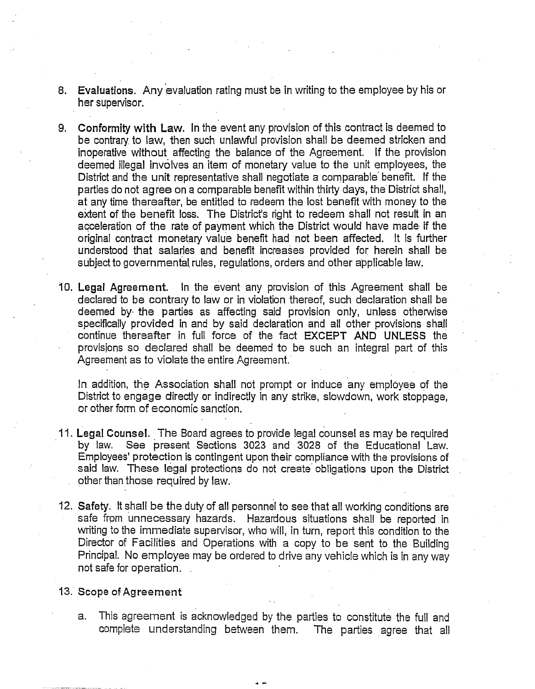- 8. Evaluations. Any evaluation rating must be in writing to the employee by his or her supervisor.
- Conformity with Law. In the event any provision of this contract is deemed to  $9<sub>1</sub>$ be contrary. to law, then such unlawful provision shall be deemed stricken and inoperative without affecting the balance of the Agreement. If the provision deemed illegal involves an item of monetary value to the unit employees, the District and the unit representative shall negotiate a comparable'benefit. If the parties do not agree on a comparable benefit within thirty days, the'District shall, at any time thereafter, be entitled to redeem the lost benefit with money to the extent of the benefit loss. The District's right to redeem shall not result in an acceleration of the rate of payment which the District would have made if the original contract monetary value benefit had not been affected. It is further understood that salaries and benefit increases provided for herein shall be subject to governmental rules, regulations, orders and other applicable law.
- 10. Legal Agreement. In the event any provision of this Agreement shall be declared to be contrary to law or in violation thereof, such declaration shall be deemed by. the parties as affecting said provision only, unless otherwise specifically provided in and by said declaration and all other provisions shall continue thereafter in full force of the fact EXCEPT **AND UNLESS** the provisions so declared shall be deemed to be such an integral part of this Agreement as to violate the entire Agreement.

In addition, the Association shall not prompt or induce any employee of the District to engage directly or indirectly in any strike, slowdown, work stoppage, or other form of economic sanction.

- 1 **1.** Legal Counsel. The Board agrees to provide legal counsel as may be required by law. See present Sections 3023 and 3028 of the Educational Law. Employees' protection is contingent upon their compliance with the provisions of said law. These legal protections do not create' obligations upon the District other than those required by law.
- 12. Safety. It shall be the duty of all personnel to see that all working conditions are safe from unnecessary hazards. Hazardous situations shall be reported in writing to the immediate supervisor, who will, in turn, report this condition to the Director of Facilities and Operations with a copy to be sent to the Building Principal. No employee may be ordered to drive any vehicle which is in any way not safe for operation. .

#### 13. **Scope of Agreement**

a. This agreement is acknowledged by the parties to constitute the full and complete understanding between them. The parties agree that all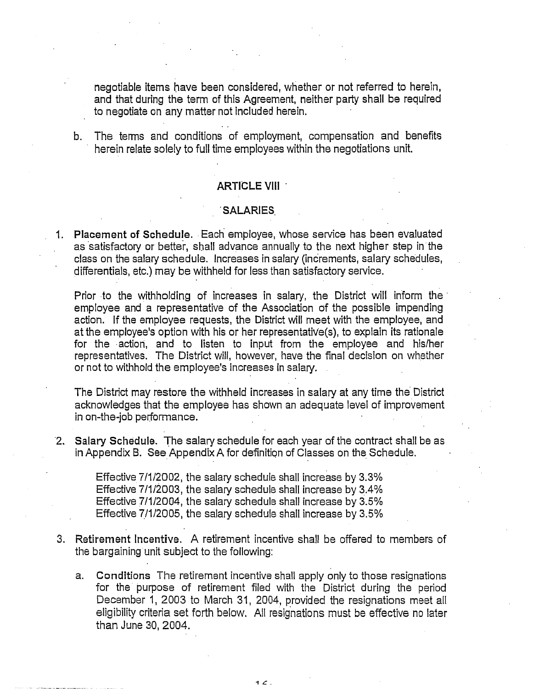negotiable items have been considered, whether or not referred to herein, and that during the term of this Agreement, neither party shall be required to negotiate on any matter not included herein.

b. The terms and conditions of employment, compensation and benefits herein relate solely to full time employees within the negotiations unit.

#### ARTICLE Vlll

#### **SALARIES**

1. Placement **of Schedule.** Each employee, whose service has been evaluated as satisfactory or better, shall advance annually to the next higher step in the class on the salary schedule. Increases in salary (increments, salary schedules, differentials, etc.) may be withheld for less than satisfactory service.

Prior to the withholding of increases in salary, the District will inform the employee and a representative of the Association of the possible impending action. If the employee requests, the District will meet with the employee, and at the employee's option with his or her representative(s), to explain its rationale for the action, and to listen to input from the employee and his/her representatives. The District will, however, have the final decision on whether or not to withhold the employee's increases in salary.

The District may restore the withheld increases in salary at any time the District acknowledges that the employee has shown an adequate level of improvement in on-the-job performance.

'2. Salary Schedule. The salary schedule for each year of the contract shall be as in Appendix B. See Appendix A for definition of Classes on the Schedule.

> Effective 7/1/2002, the salary schedule shall increase by 3.3% Effective 7/1/2003, the salary schedule shall increase by 3.4% Effective 7/1/2004, the salary schedule shall increase by 3.5% Effective 7/1/2005, the salary schedule shall increase by 3.5%

- **3.** Retirement Incentive. A retirement incentive shall be offered to members of the bargaining unit subject to the following:
	- a. Conditions The retirement incentive shall apply only to those resignations for the purpose of retirement filed with the District during the period December 1, 2003 to March 31, 2004, provided the resignations meet all eligibility criteria set forth below. All resignations must be effective no later than June 30,2004.

 $1<sup>2</sup>$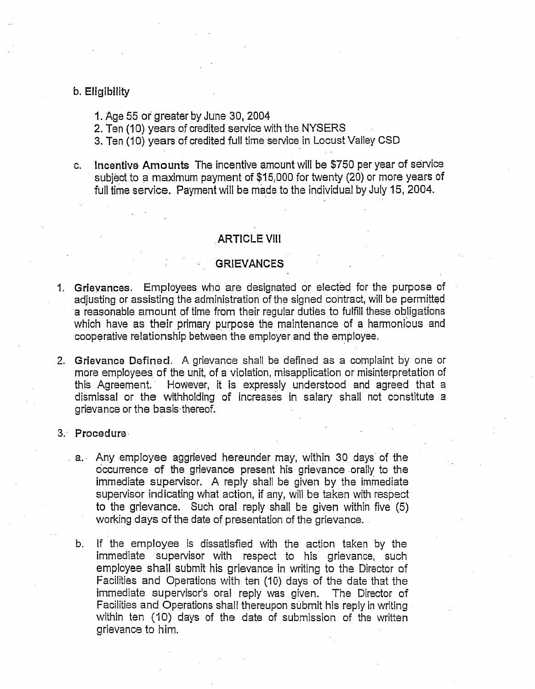#### b. Eligibility

- 1. Age 55 or greater by June 30,2004
- 2. Ten (10) years of credited service with the **NYSERS**
- 3. Ten (10) years of credited full time service in Locust Valley CSD
- c. Incentive Amounts The incentive amount will be \$750 per year of senrice subject to a maximum payment of \$15,000 for twenty (20) or more years of full time service. Payment will be made to the individual by July 15, 2004.

#### ARTICLE Vlll

### **GRIEVANCES**

- Grievances. Employees who are designated or elected for the purpose of adjusting or assisting the administration of the signed contract, will be permitted a reasonable amount of time from their regular duties to fulfill these obligations which have as their primary purpose the maintenance of a harmonious and cooperative relationship between the employer and the employee.
- Grievance **Defined.** A grievance shall be defined as a complaint by one or more employees of the unit, of a violation, misapplication or misinterpretation of this Agreement.' However, it is expressly understood and agreed that a dismissal or the withholding of increases in salary shall not constitute a grievance or the basis thereof.

#### Procedure.

- a. Any employee aggrieved hereunder may, within 30 days of the occurrence of the grievance present his grievance orally to the immediate supervisor. A reply shall be given by the immediate supervisor indicating what action, if any, will be taken with respect to the grievance. Such oral reply shall be given within five (5) working days of the date of presentation of the grievance.
	- b. If the employee is dissatisfied with the action taken by the immediate supervisor with respect to his grievance, such employee shall submit his grievance in writing to the Director of Facilities and Operations with ten (10) days of the date that the immediate supervisor's oral reply was given. The Director of Facilities and Operations shall thereupon submit his reply in writing within ten (10) days of the date of submission of the written grievance to him.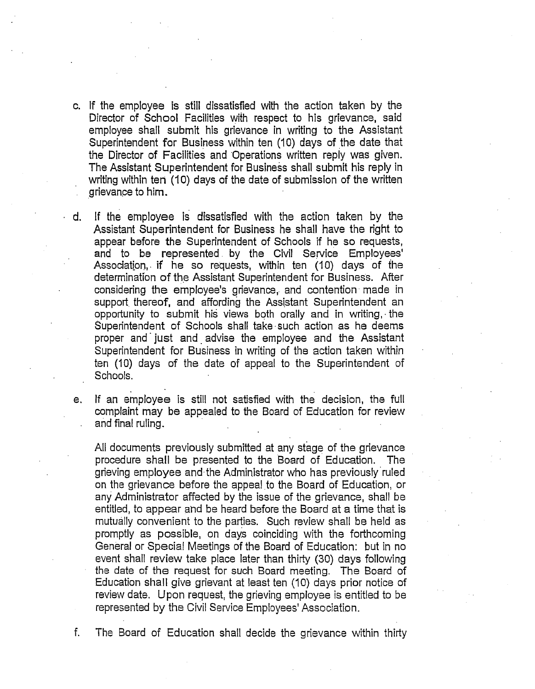- c. If the employee is still dissatisfied with the action taken by the Director of School Facilities with respect to his grievance, said employee shall submit his grievance in writing to the Assistant Superintendent for Business within ten (10) days of the date that the Director of Facilities and Operations written reply was given. The Assistant Superintendent for Business shall submit his reply in writing within ten (10) days of the date of submission of the written grievance to him.
- d. If the employee is dissatisfied with the action taken by the Assistant Superintendent for Business he shall have the right to appear before the Superintendent of Schools if he so requests, and to be represented by the Civil Service Employees' Associatipn,. if he so requests, within ten (10) days of the determination of the Assistant Superintendent for Business. After considering the employee's grievance, and contention made in support thereof, and affording the Assistant Superintendent an opportunity to submit his views both orally and in writing,. the Superintendent of Schools shall take.such action as he deems proper and' just and. advise the employee and the Assistant Superintendent for Business in writing of the action taken within ten (10) days of the date of appeal to the Superintendent of Schools.
- e. If an employee is still not satisfied with the decision, the full complaint may be appealed to the Board of Education for review . and final ruling.

All documents previously submitted at any stage of the grievance procedurs shall be presented to the Board of Education. The grieving employee and the Administrator who has previously ruled on the grievance before the appeal to the Board of Education, or any Administrator affected by the issue of the grievance, shall be entitled, to appear ahd be heard before the Board at a time that is mutually convenient to the parties. Such review shall be held as promptly as possible, on days coinciding with the forthcoming General or Special Meetings of the Board of Education: but in no event shall review take place later than thirty (30) days following the date of the request for such Board meeting. The Board of Education shall give grievant at least ten (10) days prior notice of review date. Upon request, the grieving employee is entitled to be represented by the Civil Service Employees' Association.

f. The Board of Education shall decide the grievance within thirty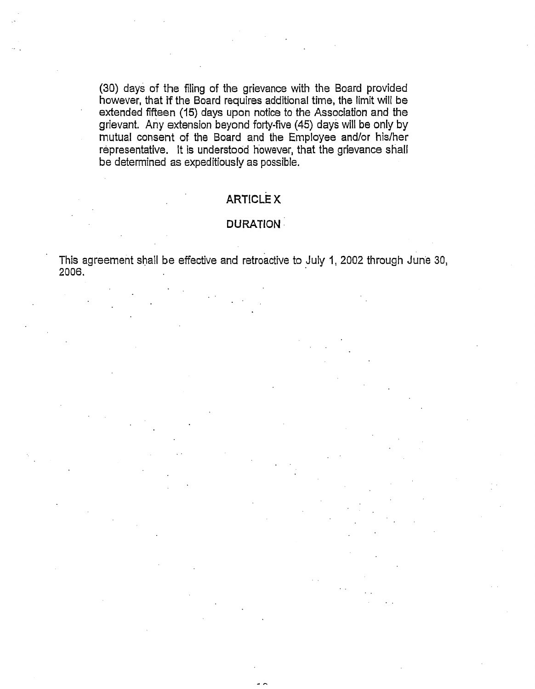(30) days of the filing of the grievance with the Board provided however, that if the Board requires additional time, the limit will be extended fifteen (15) days upon notice to the Association and the grievant. Any extension beyond forty-five (45) days will be only by mutual consent of the Board and the Employee and/or his/her representative. It is understood however, that the grievance shall be determined as expeditiously as possible.

# **ARTICLE x**

#### **DURATION** :

This agreement shall be effective and retroactive to July I, 2002 through June 30, 2006.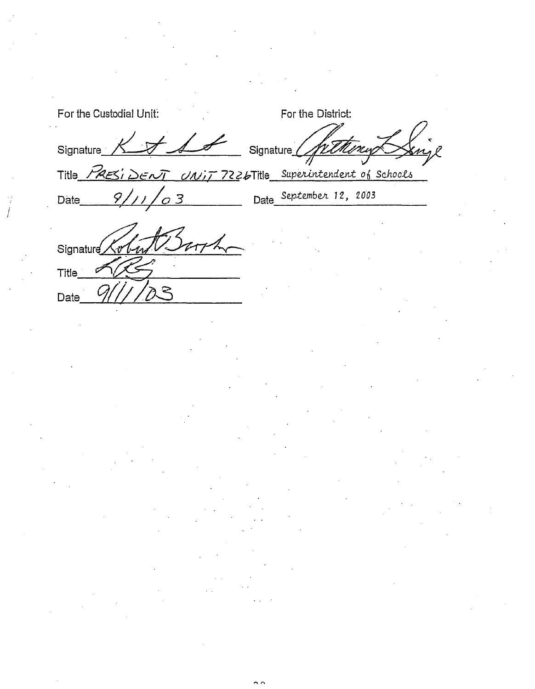| For the Custodial Unit:                                  | For the District:       |
|----------------------------------------------------------|-------------------------|
| Signature_<br>Signature                                  |                         |
| Title PRESIDENT UNIT 7226Title Superintendent of Schools |                         |
| 9/<br>$\sigma$ 3<br>Date                                 | Date September 12, 2003 |
| Signature                                                |                         |
| Title                                                    |                         |

Date 9/1/703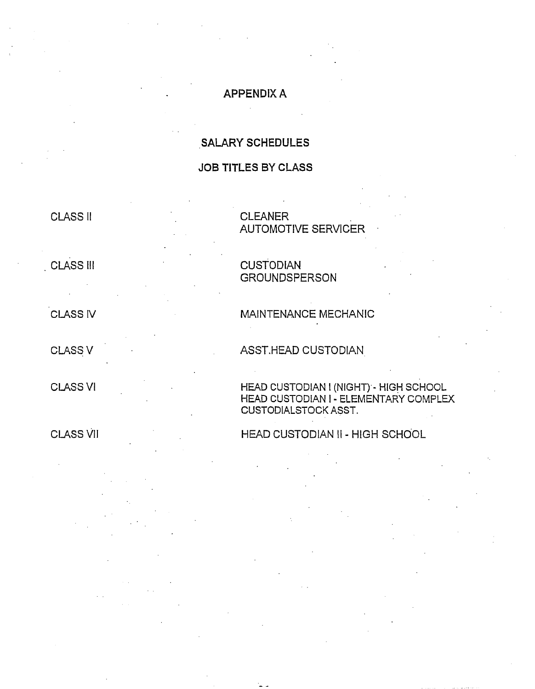### **APPENDIX A**

# **SALARY** SCHEDULES

### **JOB** TITLES BY CLASS

# CLASS ll CLEANER

AUTOMOTIVE SERVICER .

### . CLASS Ill

CLASS IV

CLASS V ASST.HEAD CUSTODIAN

CLASS VI

CLASS VII

### **CUSTODIAN GROUNDSPERSON**

MAINTENANCE MECHANIC

HEAD CUSTODIAN I (NIGHT) - HIGH SCHOOL HEAD CUSTODIAN I - ELEMENTARY COMPLEX CUSTODIALSTOCK ASST.

## HEAD CUSTODIAN II - HIGH SCHOOL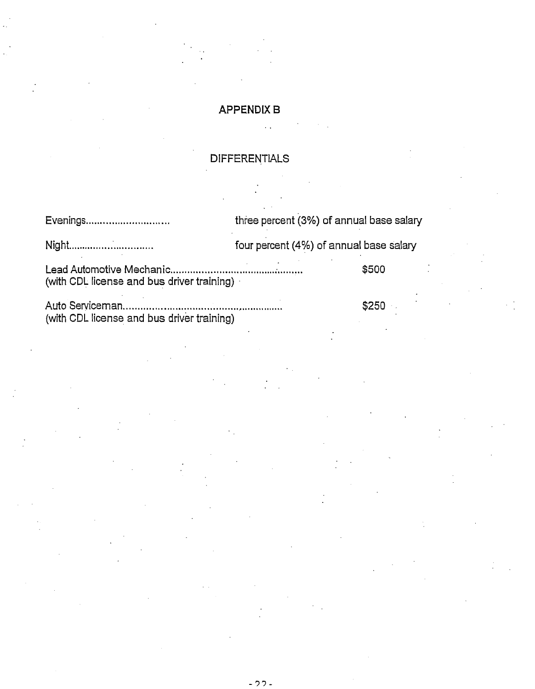### **APPENDIX** B

. .

### DIFFERENTIALS

Evenings ............................. three percent **(3%)** of annual base salary Night ............................... four percent (4%) of annual base salary Lead Automotive Mechanic ............................ .... ..... **A..** ...... \$500 (with CDL license and bus driver training) . Auto Serviceman.. ............. .... ............................ \$250 .

(with CDL license and bus driver training)

- 22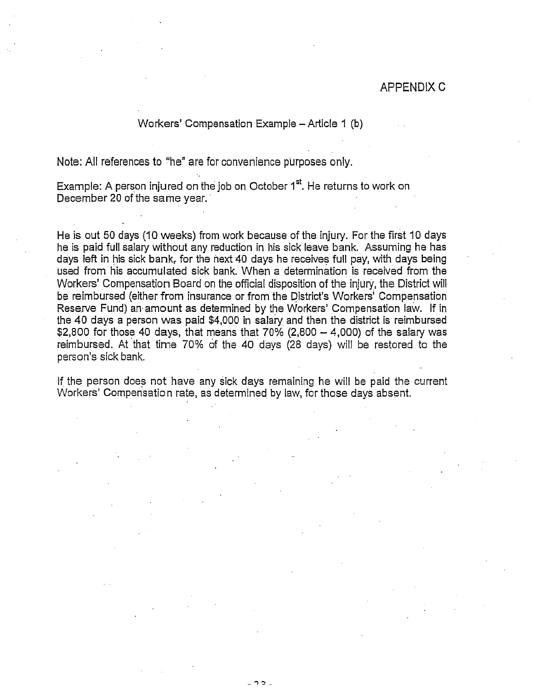### APPENDIX C

#### Workers' Compensation Example - Article 1 (b)

Note: All references to ''he" are for convenience purposes only.

Example: A person injured on the job on October 1<sup>st</sup>. He returns to work on December 20 of the same year.

He is out 50 days (10 weeks) from work because of the injury. For the first 10 days he is paid full salary without any reduction in his sick leave bank. Assuming he has days left in his sick bank, for the next.40 days he receives full pay, with days being used from his accumulated sick bank. When a determination is received from the Workers' Compensation Board on the official disposition of the injury, the District will be reimbursed (either from insurance or from the District's workers' Compensation Reserve Fund) an amount as determined by the Workers' Compensation law. If in the 40 days a person was paid  $$4,000$  in salary and then the district is reimbursed \$2,800 for those 40 days, that means that  $70\%$  (2,800  $-$  4,000) of the salary was reimbursed. At that time 70% of the 40 days (28 days) will be restored to the person's sick bank.

If the person does not have any sick days remaining he will be paid the current Workers' Compensation rate, as determined by law, for those days absent.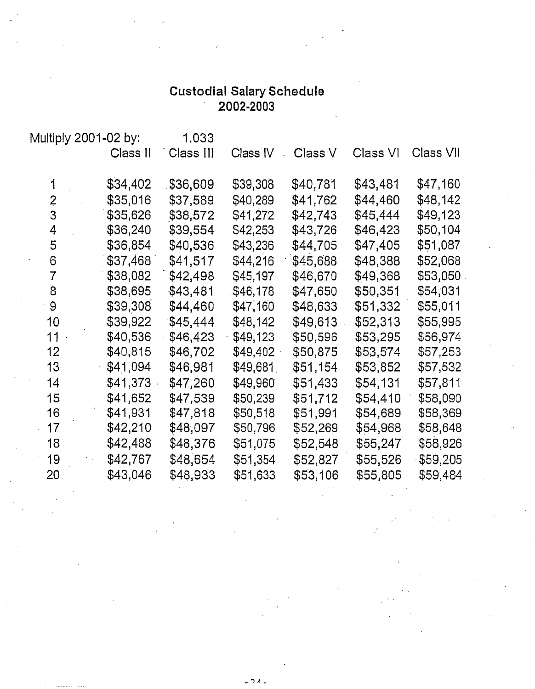# Custodial Salary Schedule **2002-2003**

| Multiply 2001-02 by: |          | 1.033     |          |          |          |           |
|----------------------|----------|-----------|----------|----------|----------|-----------|
|                      | Class II | Class III | Class IV | Class V  | Class VI | Class VII |
| 1                    | \$34,402 | \$36,609  | \$39,308 | \$40,781 | \$43,481 | \$47,160  |
| $\overline{2}$       | \$35,016 | \$37,589  | \$40,289 | \$41,762 | \$44,460 | \$48,142  |
| 3                    | \$35,626 | \$38,572  | \$41,272 | \$42,743 | \$45,444 | \$49,123  |
| 4                    | \$36,240 | \$39,554  | \$42,253 | \$43,726 | \$46,423 | \$50,104  |
| 5                    | \$36,854 | \$40,536  | \$43,236 | \$44,705 | \$47,405 | \$51,087  |
| 6                    | \$37,468 | \$41,517  | \$44,216 | \$45,688 | \$48,388 | \$52,068  |
| $\overline{7}$       | \$38,082 | \$42,498  | \$45,197 | \$46,670 | \$49,368 | \$53,050  |
| 8                    | \$38,695 | \$43,481  | \$46,178 | \$47,650 | \$50,351 | \$54,031  |
| 9                    | \$39,308 | \$44,460  | \$47,160 | \$48,633 | \$51,332 | \$55,011  |
| 10                   | \$39,922 | \$45,444  | \$48,142 | \$49,613 | \$52,313 | \$55,995  |
| $11 -$               | \$40,536 | \$46,423  | \$49,123 | \$50,596 | \$53,295 | \$56,974  |
| 12                   | \$40,815 | \$46,702  | \$49,402 | \$50,875 | \$53,574 | \$57,253  |
| 13                   | \$41,094 | \$46,981  | \$49,681 | \$51,154 | \$53,852 | \$57,532  |
| 14                   | \$41,373 | \$47,260  | \$49,960 | \$51,433 | \$54,131 | \$57,811  |
| 15                   | \$41,652 | \$47,539  | \$50,239 | \$51,712 | \$54,410 | \$58,090  |
| 16                   | \$41,931 | \$47,818  | \$50,518 | \$51,991 | \$54,689 | \$58,369  |
| 17                   | \$42,210 | \$48,097  | \$50,796 | \$52,269 | \$54,968 | \$58,648  |
| 18                   | \$42,488 | \$48,376  | \$51,075 | \$52,548 | \$55,247 | \$58,926  |
| 19                   | \$42,767 | \$48,654  | \$51,354 | \$52,827 | \$55,526 | \$59,205  |
| 20                   | \$43,046 | \$48,933  | \$51,633 | \$53,106 | \$55,805 | \$59,484  |

 $\Omega$   $\Lambda$   $-$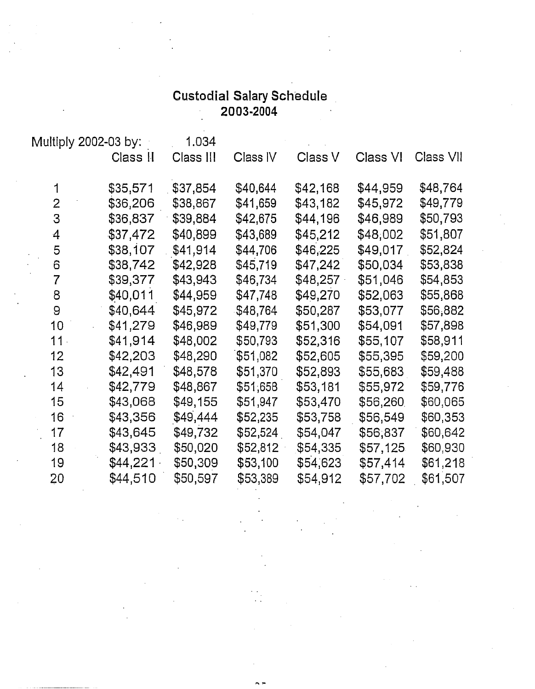# **Custodial Sa!ary Schedule 2003-2004**

|                 | Multiply 2002-03 by: | 1.034     |          |          |          |           |
|-----------------|----------------------|-----------|----------|----------|----------|-----------|
|                 | Class II             | Class III | Class IV | Class V  | Class VI | Class VII |
| 1               | \$35,571             | \$37,854  | \$40,644 | \$42,168 | \$44,959 | \$48,764  |
| $\overline{2}$  | \$36,206             | \$38,867  | \$41,659 | \$43,182 | \$45,972 | \$49,779  |
| 3               | \$36,837             | \$39,884  | \$42,675 | \$44,196 | \$46,989 | \$50,793  |
| $\overline{4}$  | \$37,472             | \$40,899  | \$43,689 | \$45,212 | \$48,002 | \$51,807  |
| 5               | \$38,107             | \$41,914  | \$44,706 | \$46,225 | \$49,017 | \$52,824  |
| 6               | \$38,742             | \$42,928  | \$45,719 | \$47,242 | \$50,034 | \$53,838  |
| $\overline{7}$  | \$39,377             | \$43,943  | \$46,734 | \$48,257 | \$51,046 | \$54,853  |
| 8               | \$40,011             | \$44,959  | \$47,748 | \$49,270 | \$52,063 | \$55,868  |
| 9               | \$40,644             | \$45,972  | \$48,764 | \$50,287 | \$53,077 | \$56,882  |
| 10 <sub>1</sub> | \$41,279             | \$46,989  | \$49,779 | \$51,300 | \$54,091 | \$57,898  |
| 11.             | \$41,914             | \$48,002  | \$50,793 | \$52,316 | \$55,107 | \$58,911  |
| 12 <sub>2</sub> | \$42,203             | \$48,290  | \$51,082 | \$52,605 | \$55,395 | \$59,200  |
| 13              | \$42,491             | \$48,578  | \$51,370 | \$52,893 | \$55,683 | \$59,488  |
| 14              | \$42,779             | \$48,867  | \$51,658 | \$53,181 | \$55,972 | \$59,776  |
| 15              | \$43,068             | \$49,155  | \$51,947 | \$53,470 | \$56,260 | \$60,065  |
| 16              | \$43,356             | \$49,444  | \$52,235 | \$53,758 | \$56,549 | \$60,353  |
| 17              | \$43,645             | \$49,732  | \$52,524 | \$54,047 | \$56,837 | \$60,642  |
| 18              | \$43,933             | \$50,020  | \$52,812 | \$54,335 | \$57,125 | \$60,930  |
| 19              | \$44,221             | \$50,309  | \$53,100 | \$54,623 | \$57,414 | \$61,218  |
| 20              | \$44,510             | \$50,597  | \$53,389 | \$54,912 | \$57,702 | \$61,507  |

 $\sim$ 

. . . .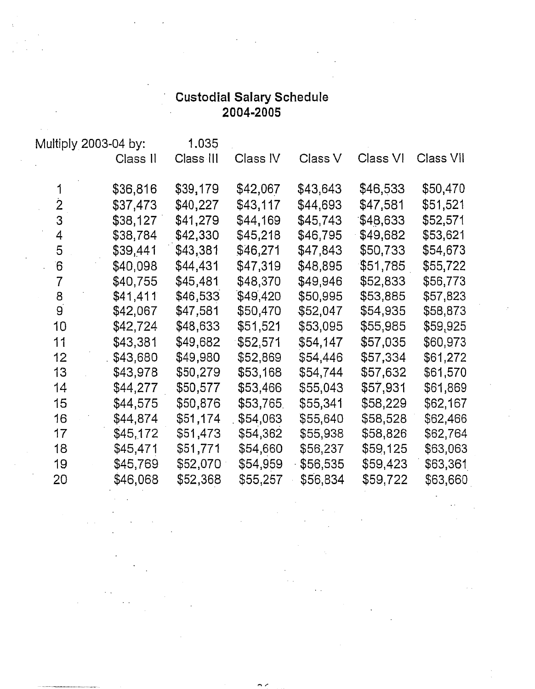# **Custodial** Salary **Schedule 2004-2005**

| Multiply 2003-04 by: |          | 1.035     |          |          |          |           |
|----------------------|----------|-----------|----------|----------|----------|-----------|
|                      | Class II | Class III | Class IV | Class V  | Class VI | Class VII |
|                      | \$36,816 | \$39,179  | \$42,067 | \$43,643 | \$46,533 | \$50,470  |
| 2                    | \$37,473 | \$40,227  | \$43,117 | \$44,693 | \$47,581 | \$51,521  |
| 3                    | \$38,127 | \$41,279  | \$44,169 | \$45,743 | \$48,633 | \$52,571  |
| 4                    | \$38,784 | \$42,330  | \$45,218 | \$46,795 | \$49,682 | \$53,621  |
| 5                    | \$39,441 | \$43,381  | \$46,271 | \$47,843 | \$50,733 | \$54,673  |
| 6                    | \$40,098 | \$44,431  | \$47,319 | \$48,895 | \$51,785 | \$55,722  |
| $\overline{7}$       | \$40,755 | \$45,481  | \$48,370 | \$49,946 | \$52,833 | \$56,773  |
| 8                    | \$41,411 | \$46,533  | \$49,420 | \$50,995 | \$53,885 | \$57,823  |
| 9                    | \$42,067 | \$47,581  | \$50,470 | \$52,047 | \$54,935 | \$58,873  |
| 10                   | \$42,724 | \$48,633  | \$51,521 | \$53,095 | \$55,985 | \$59,925  |
| 11                   | \$43,381 | \$49,682  | \$52,571 | \$54,147 | \$57,035 | \$60,973  |
| 12                   | \$43,680 | \$49,980  | \$52,869 | \$54,446 | \$57,334 | \$61,272  |
| 13                   | \$43,978 | \$50,279  | \$53,168 | \$54,744 | \$57,632 | \$61,570  |
| 14                   | \$44,277 | \$50,577  | \$53,466 | \$55,043 | \$57,931 | \$61,869  |
| 15                   | \$44,575 | \$50,876  | \$53,765 | \$55,341 | \$58,229 | \$62,167  |
| 16                   | \$44,874 | \$51,174  | \$54,063 | \$55,640 | \$58,528 | \$62,466  |
| 17                   | \$45,172 | \$51,473  | \$54,362 | \$55,938 | \$58,826 | \$62,764  |
| 18                   | \$45,471 | \$51,771  | \$54,660 | \$56,237 | \$59,125 | \$63,063  |
| 19                   | \$45,769 | \$52,070  | \$54,959 | \$56,535 | \$59,423 | \$63,361  |
| 20                   | \$46,068 | \$52,368  | \$55,257 | \$56,834 | \$59,722 | \$63,660  |

 $\sim$ 

. .